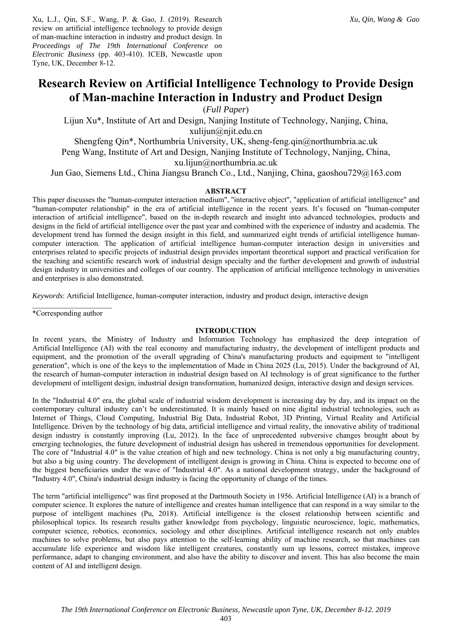Xu, L.J., Qin, S.F., Wang, P. & Gao, J. (2019). Research review on artificial intelligence technology to provide design of man-machine interaction in industry and product design. In *Proceedings of The 19th International Conference on Electronic Business* (pp. 403-410). ICEB, Newcastle upon Tyne, UK, December 8-12.

# **Research Review on Artificial Intelligence Technology to Provide Design of Man-machine Interaction in Industry and Product Design**

(*Full Paper*)

Lijun Xu\*, Institute of Art and Design, Nanjing Institute of Technology, Nanjing, China, xulijun@njit.edu.cn Shengfeng Qin\*, Northumbria University, UK, sheng-feng.qin@northumbria.ac.uk Peng Wang, Institute of Art and Design, Nanjing Institute of Technology, Nanjing, China,

xu.lijun@northumbria.ac.uk

Jun Gao, Siemens Ltd., China Jiangsu Branch Co., Ltd., Nanjing, China, gaoshou729@163.com

#### **ABSTRACT**

This paper discusses the "human-computer interaction medium", "interactive object", "application of artificial intelligence" and "human-computer relationship" in the era of artificial intelligence in the recent years. It's focused on "human-computer interaction of artificial intelligence", based on the in-depth research and insight into advanced technologies, products and designs in the field of artificial intelligence over the past year and combined with the experience of industry and academia. The development trend has formed the design insight in this field, and summarized eight trends of artificial intelligence humancomputer interaction. The application of artificial intelligence human-computer interaction design in universities and enterprises related to specific projects of industrial design provides important theoretical support and practical verification for the teaching and scientific research work of industrial design specialty and the further development and growth of industrial design industry in universities and colleges of our country. The application of artificial intelligence technology in universities and enterprises is also demonstrated.

*Keywords*: Artificial Intelligence, human-computer interaction, industry and product design, interactive design

 $\mathcal{L}_\text{max}$ \*Corresponding author

#### **INTRODUCTION**

In recent years, the Ministry of Industry and Information Technology has emphasized the deep integration of Artificial Intelligence (AI) with the real economy and manufacturing industry, the development of intelligent products and equipment, and the promotion of the overall upgrading of China's manufacturing products and equipment to "intelligent generation", which is one of the keys to the implementation of Made in China 2025 (Lu, 2015). Under the background of AI, the research of human-computer interaction in industrial design based on AI technology is of great significance to the further development of intelligent design, industrial design transformation, humanized design, interactive design and design services.

In the "Industrial 4.0" era, the global scale of industrial wisdom development is increasing day by day, and its impact on the contemporary cultural industry can't be underestimated. It is mainly based on nine digital industrial technologies, such as Internet of Things, Cloud Computing, Industrial Big Data, Industrial Robot, 3D Printing, Virtual Reality and Artificial Intelligence. Driven by the technology of big data, artificial intelligence and virtual reality, the innovative ability of traditional design industry is constantly improving (Lu, 2012). In the face of unprecedented subversive changes brought about by emerging technologies, the future development of industrial design has ushered in tremendous opportunities for development. The core of "Industrial 4.0" is the value creation of high and new technology. China is not only a big manufacturing country, but also a big using country. The development of intelligent design is growing in China. China is expected to become one of the biggest beneficiaries under the wave of "Industrial 4.0". As a national development strategy, under the background of "Industry 4.0", China's industrial design industry is facing the opportunity of change of the times.

The term "artificial intelligence" was first proposed at the Dartmouth Society in 1956. Artificial Intelligence (AI) is a branch of computer science. It explores the nature of intelligence and creates human intelligence that can respond in a way similar to the purpose of intelligent machines (Pu, 2018). Artificial intelligence is the closest relationship between scientific and philosophical topics. Its research results gather knowledge from psychology, linguistic neuroscience, logic, mathematics, computer science, robotics, economics, sociology and other disciplines. Artificial intelligence research not only enables machines to solve problems, but also pays attention to the self-learning ability of machine research, so that machines can accumulate life experience and wisdom like intelligent creatures, constantly sum up lessons, correct mistakes, improve performance, adapt to changing environment, and also have the ability to discover and invent. This has also become the main content of AI and intelligent design.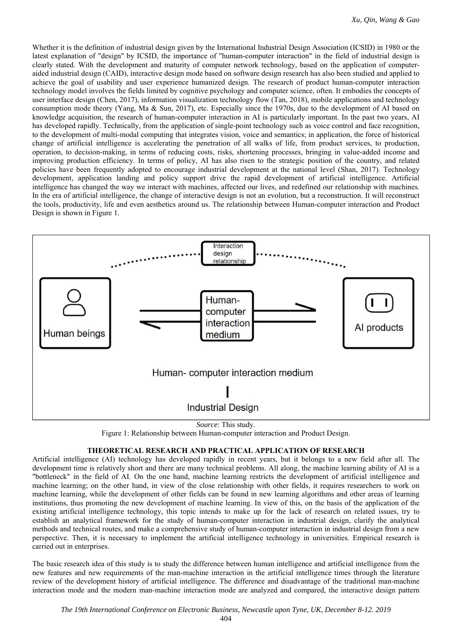Whether it is the definition of industrial design given by the International Industrial Design Association (ICSID) in 1980 or the latest explanation of "design" by ICSID, the importance of "human-computer interaction" in the field of industrial design is clearly stated. With the development and maturity of computer network technology, based on the application of computeraided industrial design (CAID), interactive design mode based on software design research has also been studied and applied to achieve the goal of usability and user experience humanized design. The research of product human-computer interaction technology model involves the fields limited by cognitive psychology and computer science, often. It embodies the concepts of user interface design (Chen, 2017), information visualization technology flow (Tan, 2018), mobile applications and technology consumption mode theory (Yang, Ma & Sun, 2017), etc. Especially since the 1970s, due to the development of AI based on knowledge acquisition, the research of human-computer interaction in AI is particularly important. In the past two years, AI has developed rapidly. Technically, from the application of single-point technology such as voice control and face recognition, to the development of multi-modal computing that integrates vision, voice and semantics; in application, the force of historical change of artificial intelligence is accelerating the penetration of all walks of life, from product services, to production, operation, to decision-making, in terms of reducing costs, risks, shortening processes, bringing in value-added income and improving production efficiency. In terms of policy, AI has also risen to the strategic position of the country, and related policies have been frequently adopted to encourage industrial development at the national level (Shan, 2017). Technology development, application landing and policy support drive the rapid development of artificial intelligence. Artificial intelligence has changed the way we interact with machines, affected our lives, and redefined our relationship with machines. In the era of artificial intelligence, the change of interactive design is not an evolution, but a reconstruction. It will reconstruct the tools, productivity, life and even aesthetics around us. The relationship between Human-computer interaction and Product Design is shown in Figure 1.



*Source*: This study.

## **THEORETICAL RESEARCH AND PRACTICAL APPLICATION OF RESEARCH**

Artificial intelligence (AI) technology has developed rapidly in recent years, but it belongs to a new field after all. The development time is relatively short and there are many technical problems. All along, the machine learning ability of AI is a "bottleneck" in the field of AI. On the one hand, machine learning restricts the development of artificial intelligence and machine learning; on the other hand, in view of the close relationship with other fields, it requires researchers to work on machine learning, while the development of other fields can be found in new learning algorithms and other areas of learning institutions, thus promoting the new development of machine learning. In view of this, on the basis of the application of the existing artificial intelligence technology, this topic intends to make up for the lack of research on related issues, try to establish an analytical framework for the study of human-computer interaction in industrial design, clarify the analytical methods and technical routes, and make a comprehensive study of human-computer interaction in industrial design from a new perspective. Then, it is necessary to implement the artificial intelligence technology in universities. Empirical research is carried out in enterprises.

The basic research idea of this study is to study the difference between human intelligence and artificial intelligence from the new features and new requirements of the man-machine interaction in the artificial intelligence times through the literature review of the development history of artificial intelligence. The difference and disadvantage of the traditional man-machine interaction mode and the modern man-machine interaction mode are analyzed and compared, the interactive design pattern

Figure 1: Relationship between Human-computer interaction and Product Design.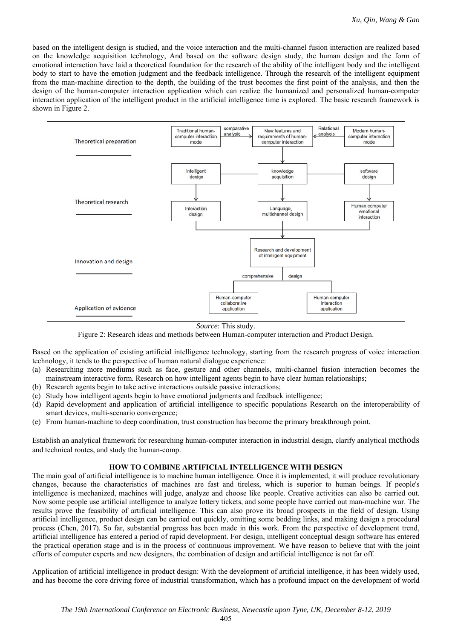based on the intelligent design is studied, and the voice interaction and the multi-channel fusion interaction are realized based on the knowledge acquisition technology, And based on the software design study, the human design and the form of emotional interaction have laid a theoretical foundation for the research of the ability of the intelligent body and the intelligent body to start to have the emotion judgment and the feedback intelligence. Through the research of the intelligent equipment from the man-machine direction to the depth, the building of the trust becomes the first point of the analysis, and then the design of the human-computer interaction application which can realize the humanized and personalized human-computer interaction application of the intelligent product in the artificial intelligence time is explored. The basic research framework is shown in Figure 2.



*Source*: This study.

Figure 2: Research ideas and methods between Human-computer interaction and Product Design.

Based on the application of existing artificial intelligence technology, starting from the research progress of voice interaction technology, it tends to the perspective of human natural dialogue experience:

- (a) Researching more mediums such as face, gesture and other channels, multi-channel fusion interaction becomes the mainstream interactive form. Research on how intelligent agents begin to have clear human relationships;
- (b) Research agents begin to take active interactions outside passive interactions;
- (c) Study how intelligent agents begin to have emotional judgments and feedback intelligence;
- (d) Rapid development and application of artificial intelligence to specific populations Research on the interoperability of smart devices, multi-scenario convergence;
- (e) From human-machine to deep coordination, trust construction has become the primary breakthrough point.

Establish an analytical framework for researching human-computer interaction in industrial design, clarify analytical methods and technical routes, and study the human-comp.

## **HOW TO COMBINE ARTIFICIAL INTELLIGENCE WITH DESIGN**

The main goal of artificial intelligence is to machine human intelligence. Once it is implemented, it will produce revolutionary changes, because the characteristics of machines are fast and tireless, which is superior to human beings. If people's intelligence is mechanized, machines will judge, analyze and choose like people. Creative activities can also be carried out. Now some people use artificial intelligence to analyze lottery tickets, and some people have carried out man-machine war. The results prove the feasibility of artificial intelligence. This can also prove its broad prospects in the field of design. Using artificial intelligence, product design can be carried out quickly, omitting some bedding links, and making design a procedural process (Chen, 2017). So far, substantial progress has been made in this work. From the perspective of development trend, artificial intelligence has entered a period of rapid development. For design, intelligent conceptual design software has entered the practical operation stage and is in the process of continuous improvement. We have reason to believe that with the joint efforts of computer experts and new designers, the combination of design and artificial intelligence is not far off.

Application of artificial intelligence in product design: With the development of artificial intelligence, it has been widely used, and has become the core driving force of industrial transformation, which has a profound impact on the development of world

405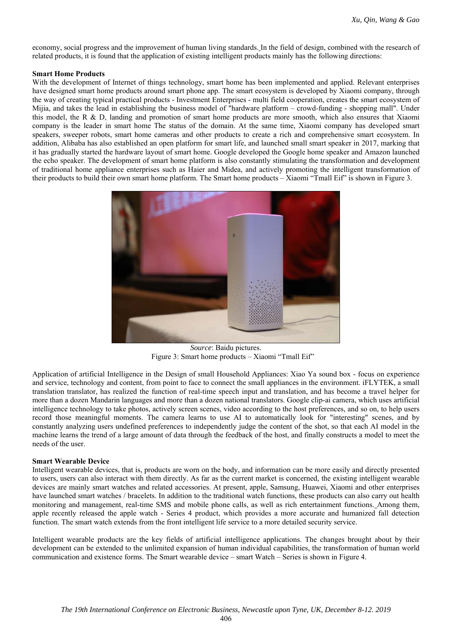economy, social progress and the improvement of human living standards. In the field of design, combined with the research of related products, it is found that the application of existing intelligent products mainly has the following directions:

#### **Smart Home Products**

With the development of Internet of things technology, smart home has been implemented and applied. Relevant enterprises have designed smart home products around smart phone app. The smart ecosystem is developed by Xiaomi company, through the way of creating typical practical products - Investment Enterprises - multi field cooperation, creates the smart ecosystem of Mijia, and takes the lead in establishing the business model of "hardware platform – crowd-funding - shopping mall". Under this model, the R & D, landing and promotion of smart home products are more smooth, which also ensures that Xiaomi company is the leader in smart home The status of the domain. At the same time, Xiaomi company has developed smart speakers, sweeper robots, smart home cameras and other products to create a rich and comprehensive smart ecosystem. In addition, Alibaba has also established an open platform for smart life, and launched small smart speaker in 2017, marking that it has gradually started the hardware layout of smart home. Google developed the Google home speaker and Amazon launched the echo speaker. The development of smart home platform is also constantly stimulating the transformation and development of traditional home appliance enterprises such as Haier and Midea, and actively promoting the intelligent transformation of their products to build their own smart home platform. The Smart home products – Xiaomi "Tmall Eif" is shown in Figure 3.



*Source*: Baidu pictures. Figure 3: Smart home products – Xiaomi "Tmall Eif"

Application of artificial Intelligence in the Design of small Household Appliances: Xiao Ya sound box - focus on experience and service, technology and content, from point to face to connect the small appliances in the environment. iFLYTEK, a small translation translator, has realized the function of real-time speech input and translation, and has become a travel helper for more than a dozen Mandarin languages and more than a dozen national translators. Google clip-ai camera, which uses artificial intelligence technology to take photos, actively screen scenes, video according to the host preferences, and so on, to help users record those meaningful moments. The camera learns to use AI to automatically look for "interesting" scenes, and by constantly analyzing users undefined preferences to independently judge the content of the shot, so that each AI model in the machine learns the trend of a large amount of data through the feedback of the host, and finally constructs a model to meet the needs of the user.

#### **Smart Wearable Device**

Intelligent wearable devices, that is, products are worn on the body, and information can be more easily and directly presented to users, users can also interact with them directly. As far as the current market is concerned, the existing intelligent wearable devices are mainly smart watches and related accessories. At present, apple, Samsung, Huawei, Xiaomi and other enterprises have launched smart watches / bracelets. In addition to the traditional watch functions, these products can also carry out health monitoring and management, real-time SMS and mobile phone calls, as well as rich entertainment functions. Among them, apple recently released the apple watch - Series 4 product, which provides a more accurate and humanized fall detection function. The smart watch extends from the front intelligent life service to a more detailed security service.

Intelligent wearable products are the key fields of artificial intelligence applications. The changes brought about by their development can be extended to the unlimited expansion of human individual capabilities, the transformation of human world communication and existence forms. The Smart wearable device – smart Watch – Series is shown in Figure 4.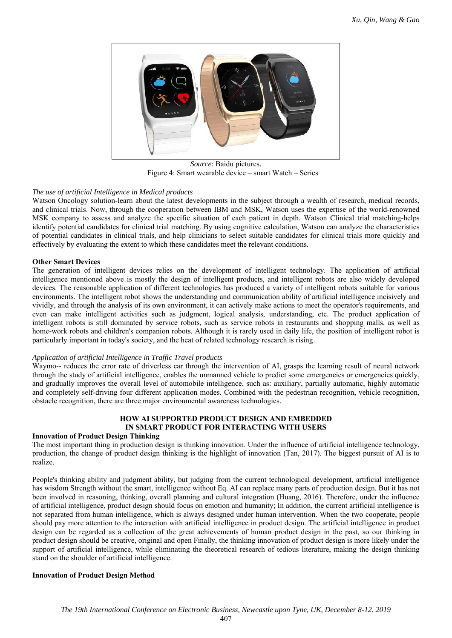

*Source*: Baidu pictures. Figure 4: Smart wearable device – smart Watch – Series

## *The use of artificial Intelligence in Medical products*

Watson Oncology solution-learn about the latest developments in the subject through a wealth of research, medical records, and clinical trials. Now, through the cooperation between IBM and MSK, Watson uses the expertise of the world-renowned MSK company to assess and analyze the specific situation of each patient in depth. Watson Clinical trial matching-helps identify potential candidates for clinical trial matching. By using cognitive calculation, Watson can analyze the characteristics of potential candidates in clinical trials, and help clinicians to select suitable candidates for clinical trials more quickly and effectively by evaluating the extent to which these candidates meet the relevant conditions.

## **Other Smart Devices**

The generation of intelligent devices relies on the development of intelligent technology. The application of artificial intelligence mentioned above is mostly the design of intelligent products, and intelligent robots are also widely developed devices. The reasonable application of different technologies has produced a variety of intelligent robots suitable for various environments. The intelligent robot shows the understanding and communication ability of artificial intelligence incisively and vividly, and through the analysis of its own environment, it can actively make actions to meet the operator's requirements, and even can make intelligent activities such as judgment, logical analysis, understanding, etc. The product application of intelligent robots is still dominated by service robots, such as service robots in restaurants and shopping malls, as well as home-work robots and children's companion robots. Although it is rarely used in daily life, the position of intelligent robot is particularly important in today's society, and the heat of related technology research is rising.

## *Application of artificial Intelligence in Traffic Travel products*

Waymo-- reduces the error rate of driverless car through the intervention of AI, grasps the learning result of neural network through the study of artificial intelligence, enables the unmanned vehicle to predict some emergencies or emergencies quickly, and gradually improves the overall level of automobile intelligence, such as: auxiliary, partially automatic, highly automatic and completely self-driving four different application modes. Combined with the pedestrian recognition, vehicle recognition, obstacle recognition, there are three major environmental awareness technologies.

## **HOW AI SUPPORTED PRODUCT DESIGN AND EMBEDDED IN SMART PRODUCT FOR INTERACTING WITH USERS**

## **Innovation of Product Design Thinking**

The most important thing in production design is thinking innovation. Under the influence of artificial intelligence technology, production, the change of product design thinking is the highlight of innovation (Tan, 2017). The biggest pursuit of AI is to realize.

People's thinking ability and judgment ability, but judging from the current technological development, artificial intelligence has wisdom Strength without the smart, intelligence without Eq. AI can replace many parts of production design. But it has not been involved in reasoning, thinking, overall planning and cultural integration (Huang, 2016). Therefore, under the influence of artificial intelligence, product design should focus on emotion and humanity; In addition, the current artificial intelligence is not separated from human intelligence, which is always designed under human intervention. When the two cooperate, people should pay more attention to the interaction with artificial intelligence in product design. The artificial intelligence in product design can be regarded as a collection of the great achievements of human product design in the past, so our thinking in product design should be creative, original and open Finally, the thinking innovation of product design is more likely under the support of artificial intelligence, while eliminating the theoretical research of tedious literature, making the design thinking stand on the shoulder of artificial intelligence.

## **Innovation of Product Design Method**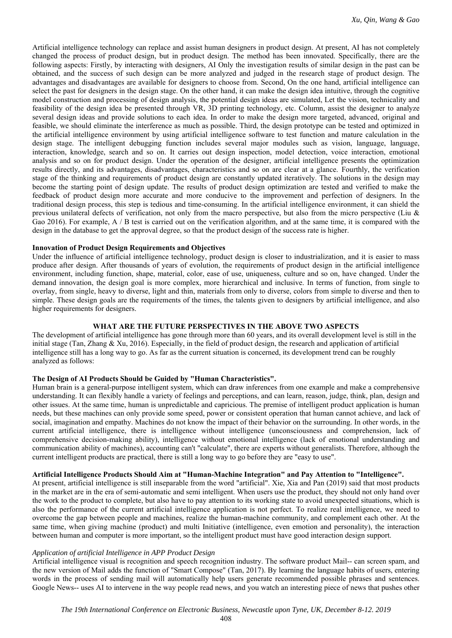Artificial intelligence technology can replace and assist human designers in product design. At present, AI has not completely changed the process of product design, but in product design. The method has been innovated. Specifically, there are the following aspects: Firstly, by interacting with designers, AI Only the investigation results of similar design in the past can be obtained, and the success of such design can be more analyzed and judged in the research stage of product design. The advantages and disadvantages are available for designers to choose from. Second, On the one hand, artificial intelligence can select the past for designers in the design stage. On the other hand, it can make the design idea intuitive, through the cognitive model construction and processing of design analysis, the potential design ideas are simulated, Let the vision, technicality and feasibility of the design idea be presented through VR, 3D printing technology, etc. Column, assist the designer to analyze several design ideas and provide solutions to each idea. In order to make the design more targeted, advanced, original and feasible, we should eliminate the interference as much as possible. Third, the design prototype can be tested and optimized in the artificial intelligence environment by using artificial intelligence software to test function and mature calculation in the design stage. The intelligent debugging function includes several major modules such as vision, language, language, interaction, knowledge, search and so on. It carries out design inspection, model detection, voice interaction, emotional analysis and so on for product design. Under the operation of the designer, artificial intelligence presents the optimization results directly, and its advantages, disadvantages, characteristics and so on are clear at a glance. Fourthly, the verification stage of the thinking and requirements of product design are constantly updated iteratively. The solutions in the design may become the starting point of design update. The results of product design optimization are tested and verified to make the feedback of product design more accurate and more conducive to the improvement and perfection of designers. In the traditional design process, this step is tedious and time-consuming. In the artificial intelligence environment, it can shield the previous unilateral defects of verification, not only from the macro perspective, but also from the micro perspective (Liu & Gao 2016). For example, A / B test is carried out on the verification algorithm, and at the same time, it is compared with the design in the database to get the approval degree, so that the product design of the success rate is higher.

## **Innovation of Product Design Requirements and Objectives**

Under the influence of artificial intelligence technology, product design is closer to industrialization, and it is easier to mass produce after design. After thousands of years of evolution, the requirements of product design in the artificial intelligence environment, including function, shape, material, color, ease of use, uniqueness, culture and so on, have changed. Under the demand innovation, the design goal is more complex, more hierarchical and inclusive. In terms of function, from single to overlay, from single, heavy to diverse, light and thin, materials from only to diverse, colors from simple to diverse and then to simple. These design goals are the requirements of the times, the talents given to designers by artificial intelligence, and also higher requirements for designers.

#### **WHAT ARE THE FUTURE PERSPECTIVES IN THE ABOVE TWO ASPECTS**

The development of artificial intelligence has gone through more than 60 years, and its overall development level is still in the initial stage (Tan, Zhang & Xu, 2016). Especially, in the field of product design, the research and application of artificial intelligence still has a long way to go. As far as the current situation is concerned, its development trend can be roughly analyzed as follows:

### **The Design of AI Products Should be Guided by "Human Characteristics".**

Human brain is a general-purpose intelligent system, which can draw inferences from one example and make a comprehensive understanding. It can flexibly handle a variety of feelings and perceptions, and can learn, reason, judge, think, plan, design and other issues. At the same time, human is unpredictable and capricious. The premise of intelligent product application is human needs, but these machines can only provide some speed, power or consistent operation that human cannot achieve, and lack of social, imagination and empathy. Machines do not know the impact of their behavior on the surrounding. In other words, in the current artificial intelligence, there is intelligence without intelligence (unconsciousness and comprehension, lack of comprehensive decision-making ability), intelligence without emotional intelligence (lack of emotional understanding and communication ability of machines), accounting can't "calculate", there are experts without generalists. Therefore, although the current intelligent products are practical, there is still a long way to go before they are "easy to use".

#### **Artificial Intelligence Products Should Aim at "Human-Machine Integration" and Pay Attention to "Intelligence".**

At present, artificial intelligence is still inseparable from the word "artificial". Xie, Xia and Pan (2019) said that most products in the market are in the era of semi-automatic and semi intelligent. When users use the product, they should not only hand over the work to the product to complete, but also have to pay attention to its working state to avoid unexpected situations, which is also the performance of the current artificial intelligence application is not perfect. To realize real intelligence, we need to overcome the gap between people and machines, realize the human-machine community, and complement each other. At the same time, when giving machine (product) and multi Initiative (intelligence, even emotion and personality), the interaction between human and computer is more important, so the intelligent product must have good interaction design support.

#### *Application of artificial Intelligence in APP Product Design*

Artificial intelligence visual is recognition and speech recognition industry. The software product Mail-- can screen spam, and the new version of Mail adds the function of "Smart Compose" (Tan, 2017). By learning the language habits of users, entering words in the process of sending mail will automatically help users generate recommended possible phrases and sentences. Google News-- uses AI to intervene in the way people read news, and you watch an interesting piece of news that pushes other

408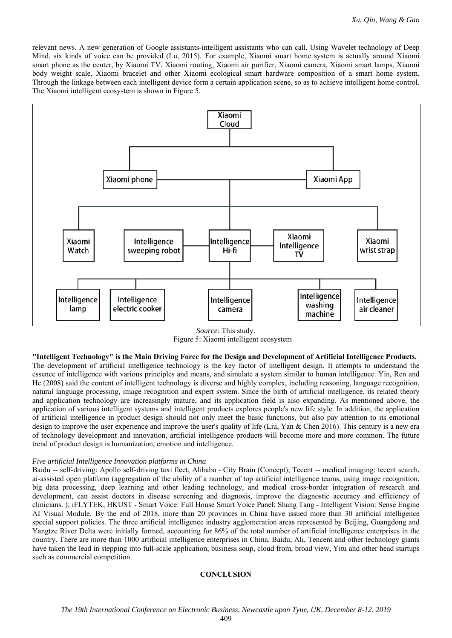relevant news. A new generation of Google assistants-intelligent assistants who can call. Using Wavelet technology of Deep Mind, six kinds of voice can be provided (Lu, 2015). For example, Xiaomi smart home system is actually around Xiaomi smart phone as the center, by Xiaomi TV, Xiaomi routing, Xiaomi air purifier, Xiaomi camera, Xiaomi smart lamps, Xiaomi body weight scale, Xiaomi bracelet and other Xiaomi ecological smart hardware composition of a smart home system. Through the linkage between each intelligent device form a certain application scene, so as to achieve intelligent home control. The Xiaomi intelligent ecosystem is shown in Figure 5.



*Source*: This study. Figure 5: Xiaomi intelligent ecosystem

**"Intelligent Technology" is the Main Driving Force for the Design and Development of Artificial Intelligence Products.**  The development of artificial intelligence technology is the key factor of intelligent design. It attempts to understand the essence of intelligence with various principles and means, and simulate a system similar to human intelligence. Yin, Ren and He (2008) said the content of intelligent technology is diverse and highly complex, including reasoning, language recognition, natural language processing, image recognition and expert system. Since the birth of artificial intelligence, its related theory and application technology are increasingly mature, and its application field is also expanding. As mentioned above, the application of various intelligent systems and intelligent products explores people's new life style. In addition, the application of artificial intelligence in product design should not only meet the basic functions, but also pay attention to its emotional design to improve the user experience and improve the user's quality of life (Liu, Yan & Chen 2016). This century is a new era of technology development and innovation, artificial intelligence products will become more and more common. The future trend of product design is humanization, emotion and intelligence.

#### *Five artificial Intelligence Innovation platforms in China*

Baidu -- self-driving: Apollo self-driving taxi fleet; Alibaba - City Brain (Concept); Tecent -- medical imaging: tecent search, ai-assisted open platform (aggregation of the ability of a number of top artificial intelligence teams, using image recognition, big data processing, deep learning and other leading technology, and medical cross-border integration of research and development, can assist doctors in disease screening and diagnosis, improve the diagnostic accuracy and efficiency of clinicians. ); iFLYTEK, HKUST - Smart Voice: Full House Smart Voice Panel; Shang Tang - Intelligent Vision: Sense Engine AI Visual Module. By the end of 2018, more than 20 provinces in China have issued more than 30 artificial intelligence special support policies. The three artificial intelligence industry agglomeration areas represented by Beijing, Guangdong and Yangtze River Delta were initially formed, accounting for 86% of the total number of artificial intelligence enterprises in the country. There are more than 1000 artificial intelligence enterprises in China. Baidu, Ali, Tencent and other technology giants have taken the lead in stepping into full-scale application, business soup, cloud from, broad view, Yitu and other head startups such as commercial competition.

#### **CONCLUSION**